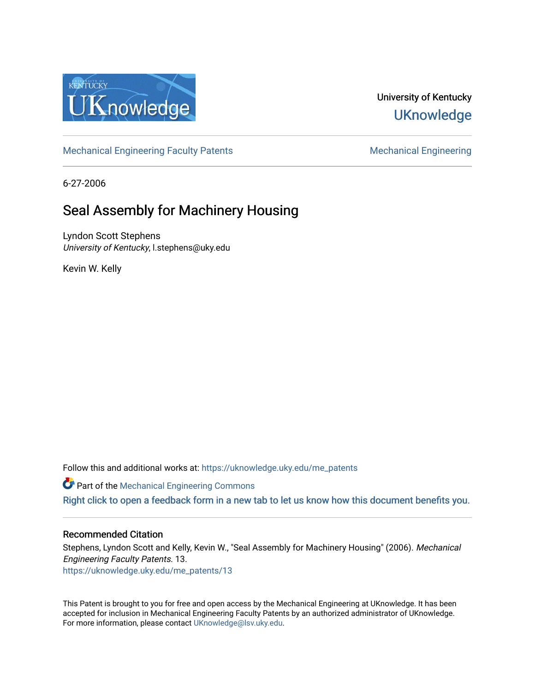

# University of Kentucky **UKnowledge**

[Mechanical Engineering Faculty Patents](https://uknowledge.uky.edu/me_patents) [Mechanical Engineering](https://uknowledge.uky.edu/me) Mechanical Engineering

6-27-2006

# Seal Assembly for Machinery Housing

Lyndon Scott Stephens University of Kentucky, l.stephens@uky.edu

Kevin W. Kelly

Follow this and additional works at: [https://uknowledge.uky.edu/me\\_patents](https://uknowledge.uky.edu/me_patents?utm_source=uknowledge.uky.edu%2Fme_patents%2F13&utm_medium=PDF&utm_campaign=PDFCoverPages) 

**Part of the Mechanical Engineering Commons** 

[Right click to open a feedback form in a new tab to let us know how this document benefits you.](https://uky.az1.qualtrics.com/jfe/form/SV_9mq8fx2GnONRfz7)

## Recommended Citation

Stephens, Lyndon Scott and Kelly, Kevin W., "Seal Assembly for Machinery Housing" (2006). Mechanical Engineering Faculty Patents. 13. [https://uknowledge.uky.edu/me\\_patents/13](https://uknowledge.uky.edu/me_patents/13?utm_source=uknowledge.uky.edu%2Fme_patents%2F13&utm_medium=PDF&utm_campaign=PDFCoverPages) 

This Patent is brought to you for free and open access by the Mechanical Engineering at UKnowledge. It has been accepted for inclusion in Mechanical Engineering Faculty Patents by an authorized administrator of UKnowledge. For more information, please contact [UKnowledge@lsv.uky.edu.](mailto:UKnowledge@lsv.uky.edu)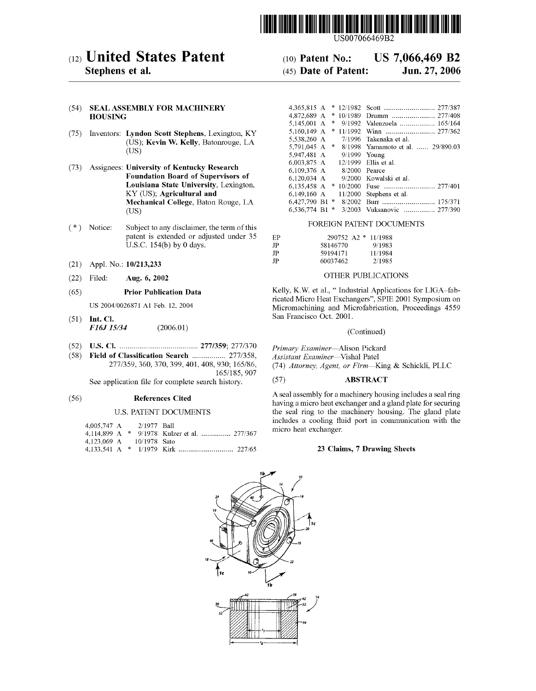

US007066469B2

## (12) United States Patent

## Stephens et al.

#### (54) SEAL ASSEMBLY FOR MACHINERY **HOUSING**

- (75) Inventors: Lyndon Scott Stephens, Lexington, KY (US); Kevin W. Kelly, Batonrouge, LA  $(US)$
- (73) Assignees: University of Kentucky Research **Foundation Board of Supervisors of** Louisiana State University, Lexington. KY (US); Agricultural and Mechanical College, Baton Rouge, LA  $(US)$
- $(*)$  Notice: Subject to any disclaimer, the term of this patent is extended or adjusted under 35 U.S.C. 154(b) by 0 days.
- Appl. No.: 10/213,233  $(21)$
- $(22)$  Filed: Aug. 6, 2002

#### $(65)$ **Prior Publication Data**

US 2004/0026871 A1 Feb. 12, 2004

- $(51)$  Int. Cl. F16J 15/34  $(2006.01)$
- 
- (58) Field of Classification Search ................. 277/358, 277/359, 360, 370, 399, 401, 408, 930; 165/86, 165/185, 907

See application file for complete search history.

#### $(56)$ **References Cited**

#### **U.S. PATENT DOCUMENTS**

| 4,005,747 A 2/1977 Ball  |  |                                               |  |
|--------------------------|--|-----------------------------------------------|--|
|                          |  | 4.114.899 A $*$ 9/1978 Kulzer et al.  277/367 |  |
| 4.123.069 A 10/1978 Sato |  |                                               |  |
|                          |  |                                               |  |

#### US 7,066,469 B2  $(10)$  Patent No.: (45) Date of Patent: Jun. 27, 2006

| 4.365,815 A  | $\ast$        | 12/1982      |                                   |
|--------------|---------------|--------------|-----------------------------------|
| 4.872.689 A  | ×             | 10/1989      |                                   |
| 5,145,001 A  | $\ast$        | 9/1992       | Valenzuela  165/164               |
| 5.160.149 A  | $\mathcal{M}$ | 11/1992      |                                   |
| 5,538,260 A  |               | 7/1996       | Takenaka et al.                   |
| 5.791.045 A  | $\approx$     |              | 8/1998 Yamamoto et al.  29/890.03 |
| 5.947,481 A  |               | 9/1999 Young |                                   |
| 6,003,875 A  |               |              | 12/1999 Ellis et al.              |
| 6,109,376 A  |               | 8/2000       | Pearce                            |
| 6,120,034 A  |               |              | 9/2000 Kowalski et al.            |
| 6.135,458 A  | *             | 10/2000      |                                   |
| 6,149,160 A  |               | 11/2000      | Stephens et al.                   |
| 6.427.790 B1 | $\approx$     | 8/2002       |                                   |
| 6.536.774 B1 | ∗             | 3/2003       | Vuksanovic  277/390               |

#### FOREIGN PATENT DOCUMENTS

| EP. | $290752$ A $2$ * 11/1988 |         |
|-----|--------------------------|---------|
| JP  | 58146770                 | 9/1983  |
| JP  | 59194171                 | 11/1984 |
| JP  | 60037462                 | 2/1985  |

#### OTHER PUBLICATIONS

Kelly, K.W. et al., "Industrial Applications for LIGA-fabricated Micro Heat Exchangers", SPIE 2001 Symposium on Micromachining and Microfabrication, Proceedings 4559 San Francisco Oct. 2001.

#### (Continued)

Primary Examiner-Alison Pickard

Assistant Examiner-Vishal Patel

(74) Attorney, Agent, or Firm-King & Schickli, PLLC

#### **ABSTRACT**  $(57)$

A seal assembly for a machinery housing includes a seal ring having a micro heat exchanger and a gland plate for securing the seal ring to the machinery housing. The gland plate includes a cooling fluid port in communication with the micro heat exchanger.

#### 23 Claims, 7 Drawing Sheets

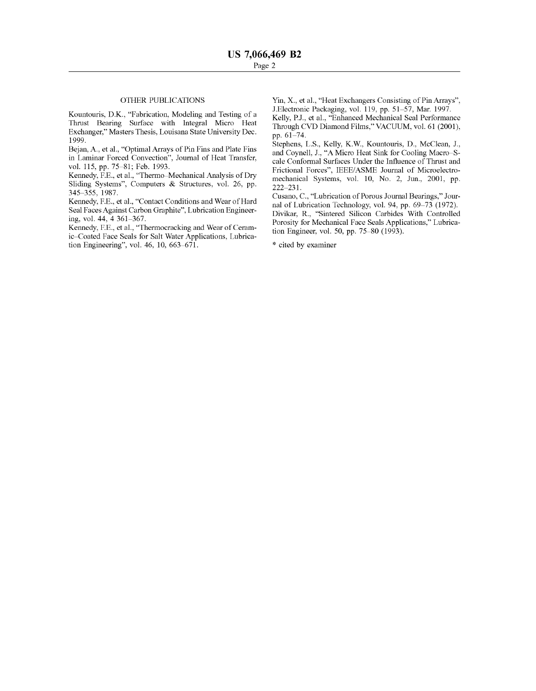## OTHER PUBLICATIONS

Kountouris, D.K., "Fabrication, Modeling and Testing of a Thrust Bearing Surface With Integral Micro Heat Exchanger," Masters Thesis, Louisana State University Dec. 1 999.

Bejan, A., et al., "Optimal Arrays of Pin Fins and Plate Fins in Laminar Forced Convection", Journal of Heat Transfer, vol. 115, pp. 75-81; Feb. 1993.

Kennedy, F.E., et al., "Thermo-Mechanical Analysis of Dry Sliding Systems", Computers & Structures, vol. 26, pp. 345-355, 1987.

Kennedy, F.E., et al., "Contact Conditions and Wear of Hard Seal Faces Against Carbon Graphite", Lubrication Engineer ing, vol.  $44, 4361 - 367$ .

Kennedy, F.E., et al., "Thermocracking and Wear of Ceram ic-Coated Face Seals for Salt Water Applications, Lubrication Engineering", vol. 46, 10, 663-671.

Yin, X., et al., "Heat Exchangers Consisting of Pin Arrays", J.Electronic Packaging, vol. 119, pp. 51-57, Mar. 1997.

Kelly, P.J., et al., "Enhanced Mechanical Seal Performance Through CVD Diamond Films," VACUUM, V01. 61 (2001), pp. 61-74.

Stephens, L.S., Kelly, K.W., Kountouris, D., McClean, J., and Coynell, J., "A Micro Heat Sink for Cooling Macro-Scale Conformal Surfaces Under the Influence of Thrust and Frictional Forces", IEEE/ASME Journal of Microelectro mechanical Systems, V01. 10, No. 2, Jun., 2001, pp. 222-231.

Cusano, C., "Lubrication of Porous Journal Bearings," Journal of Lubrication Technology, vol. 94, pp. 69–73 (1972). Divikar, R., "Sintered Silicon Carbides With Controlled Porosity for Mechanical Face Seals Applications," Lubrica tion Engineer, vol. 50, pp. 75-80 (1993).

\* cited by examiner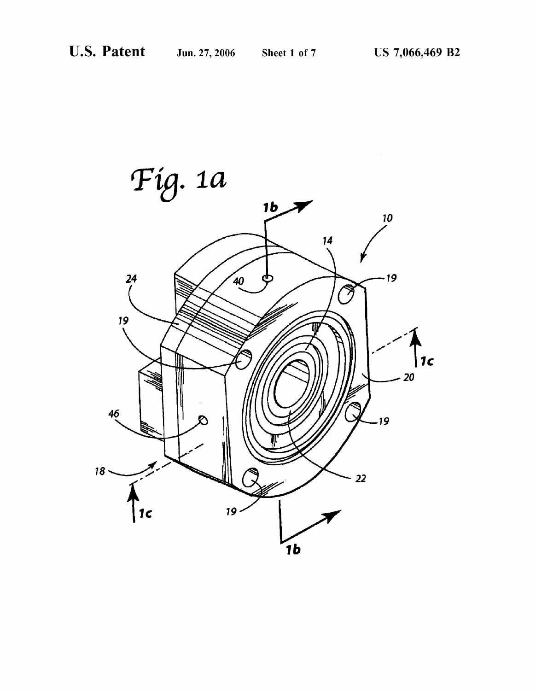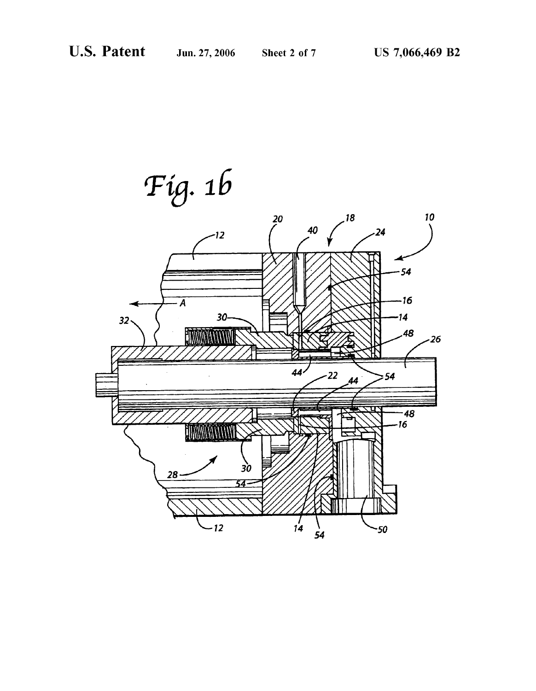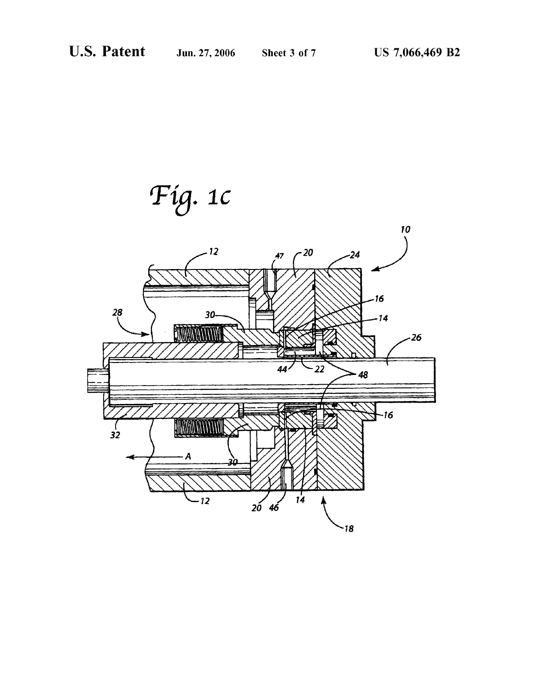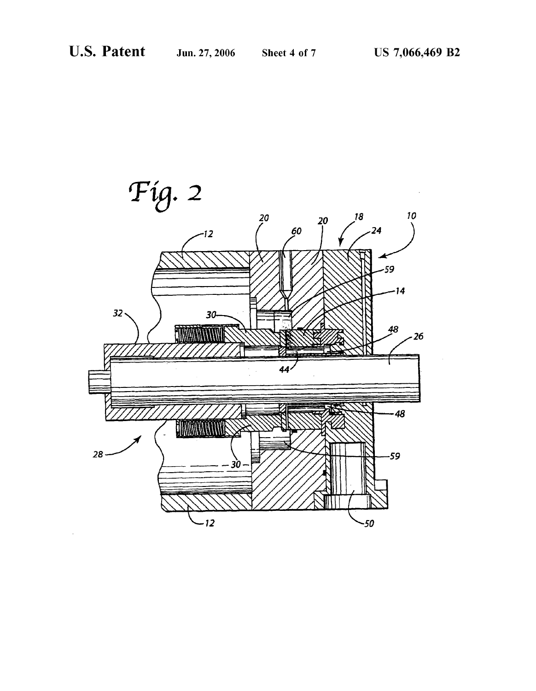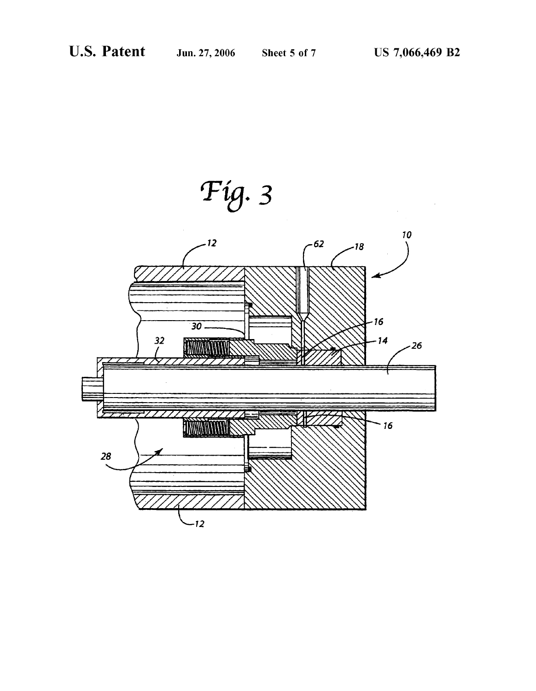'Fig. 3

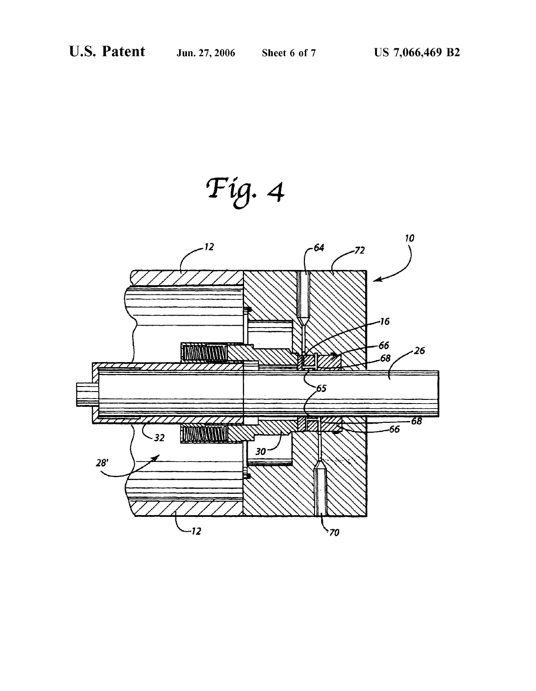'Fig. 4

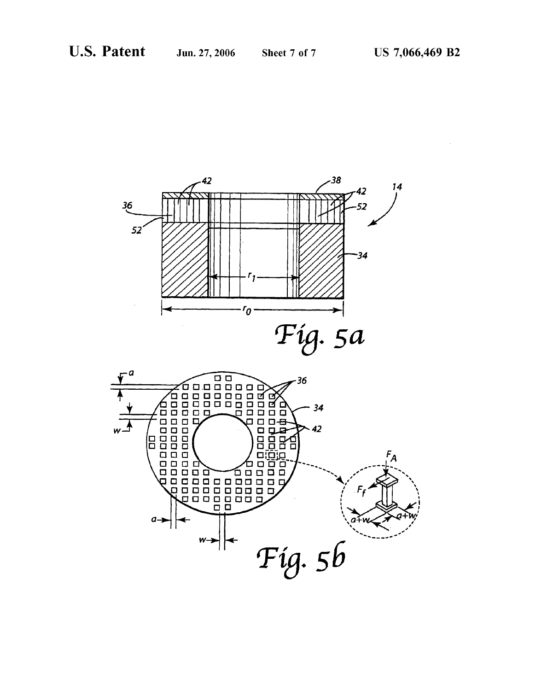

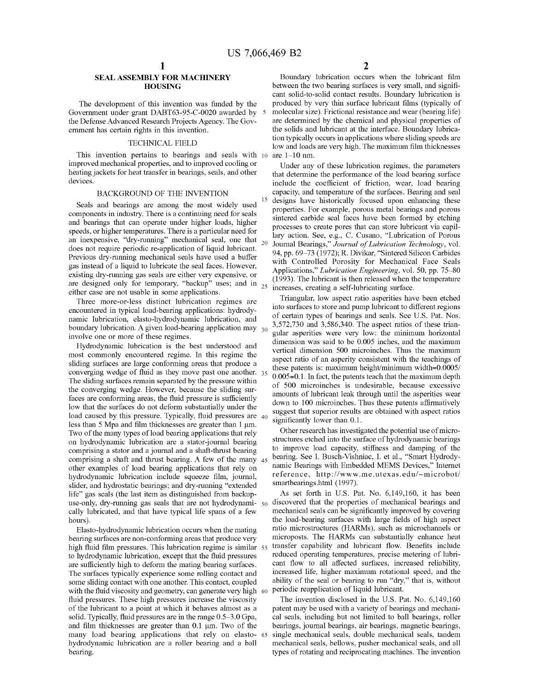## SEAL ASSEMBLY FOR MACHINERY HOUSING

The development of this invention Was funded by the Government under grant DABT63-95-C-0020 awarded by the Defense Advanced Research Projects Agency. The Gov ernment has certain rights in this invention.

#### TECHNICAL FIELD

This invention pertains to bearings and seals With 10 improved mechanical properties, and to improved cooling or heating jackets for heat transfer in bearings, seals, and other devices.

#### BACKGROUND OF THE INVENTION

Seals and bearings are among the most Widely used components in industry. There is a continuing need for seals and bearings that can operate under higher loads, higher speeds, or higher temperatures. There is a particular need for an inexpensive, "dry-running" mechanical seal, one that  $_{20}$ does not require periodic re-application of liquid lubricant. Previous dry-running mechanical seals have used a buffer gas instead of a liquid to lubricate the seal faces. HoWever, existing dry-running gas seals are either very expensive, or are designed only for temporary, "backup" uses; and in  $_{25}$ either case are not usable in some applications.

Three more-or-less distinct lubrication regimes are encountered in typical load-bearing applications: hydrody namic lubrication, elasto-hydrodynamic lubrication, and boundary lubrication. A given load-bearing application may  $_{30}$ involve one or more of these regimes.

Hydrodynamic lubrication is the best understood and most commonly encountered regime. In this regime the sliding surfaces are large conforming areas that produce a converging wedge of fluid as they move past one another.  $35$ The sliding surfaces remain separated by the pressure Within the converging Wedge. HoWever, because the sliding sur faces are conforming areas, the fluid pressure is sufficiently loW that the surfaces do not deform substantially under the load caused by this pressure. Typically, fluid pressures are  $_{40}$ less than 5 Mpa and film thicknesses are greater than 1 um. TWo of the many types of load bearing applications that rely on hydrodynamic lubrication are a stator-journal bearing comprising a stator and a journal and a shaft-thrust bearing comprising a shaft and thrust bearing. A few of the many 45 other examples of load bearing applications that rely on hydrodynamic lubrication include squeeze film, journal, slider, and hydrostatic bearings; and dry-running "extended life" gas seals (the last item as distinguished from backup use-only, dry-running gas seals that are not hydrodynami-  $_{50}$ cally lubricated, and that have typical life spans of a few hours).

Elasto-hydrodynamic lubrication occurs When the mating bearing surfaces are non-conforming areas that produce very high fluid film pressures. This lubrication regime is similar 55 to hydrodynamic lubrication, except that the fluid pressures are sufficiently high to deform the mating bearing surfaces. The surfaces typically experience some rolling contact and some sliding contact With one another. This contact, coupled with the fluid viscosity and geometry, can generate very high 60 fluid pressures. These high pressures increase the viscosity of the lubricant to a point at Which it behaves almost as a solid. Typically, fluid pressures are in the range  $0.5-3.0$  Gpa, and film thicknesses are greater than 0.1 um. Two of the many load bearing applications that rely on elasto- 65 hydrodynamic lubrication are a roller bearing and a ball bearing.

Boundary lubrication occurs when the lubricant film between the two bearing surfaces is very small, and significant solid-to-solid contact results. Boundary lubrication is produced by very thin surface lubricant films (typically of molecular size). Frictional resistance and wear (bearing life) are determined by the chemical and physical properties of the solids and lubricant at the interface. Boundary lubrica tion typically occurs in applications Where sliding speeds are low and loads are very high. The maximum film thicknesses are  $1-10$  nm.

Under any of these lubrication regimes, the parameters that determine the performance of the load bearing surface include the coefficient of friction, wear, load bearing capacity, and temperature of the surfaces. Bearing and seal designs have historically focused upon enhancing these properties. For example, porous metal bearings and porous sintered carbide seal faces have been formed by etching processes to create pores that can store lubricant via capil lary action. See, e.g., C. Cusano, "Lubrication of Porous Journal Bearings," Journal of Lubrication Technology, vol. 94, pp. 69-73 (1972); R. Divikar, "Sintered Silicon Carbides with Controlled Porosity for Mechanical Face Seals Applications," Lubrication Engineering, vol. 50, pp. 75-80 (1993). The lubricant is then released When the temperature increases, creating a self-lubricating surface.

Triangular, loW aspect ratio asperities have been etched into surfaces to store and pump lubricant to different regions of certain types of bearings and seals. See US. Pat. Nos. 3,572,730 and 3,586,340. The aspect ratios of these trian gular asperities Were very loW: the minimum horizontal dimension Was said to be 0.005 inches, and the maximum vertical dimension 500 microinches. Thus the maximum aspect ratio of an asperity consistent With the teachings of these patents is: maximum height/minimum Width=0.0005/ 0.005=0. 1. In fact, the patents teach that the maximum depth of 500 microinches is undesirable, because excessive amounts of lubricant leak through until the asperities wear down to 100 microinches. Thus these patents affirmatively suggest that superior results are obtained With aspect ratios significantly lower than 0.1.

Other research has investigated the potential use of micro structures etched into the surface of hydrodynamic bearings to improve load capacity, stiffness and damping of the bearing. See I. Busch-Vishniac, I. et al., "Smart Hydrody namic Bearings With Embedded MEMS Devices," Internet reference, http://WWW.me.utexas.edu/~microbot/ smartbearings.html (1997).

As set forth in US. Pat. No. 6,149,160, it has been discovered that the properties of mechanical bearings and mechanical seals can be significantly improved by covering the load-bearing surfaces with large fields of high aspect ratio microstructures (HARMs), such as microchannels or microposts. The HARMs can substantially enhance heat transfer capability and lubricant flow. Benefits include reduced operating temperatures, precise metering of lubri cant flow to all affected surfaces, increased reliability, increased life, higher maximum rotational speed, and the ability of the seal or bearing to run "dry," that is, Without periodic reapplication of liquid lubricant.

The invention disclosed in the US. Pat. No. 6,149,160 patent may be used With a variety of bearings and mechani cal seals, including but not limited to ball bearings, roller bearings, journal bearings, air bearings, magnetic bearings, single mechanical seals, double mechanical seals, tandem mechanical seals, belloWs, pusher mechanical seals, and all types of rotating and reciprocating machines. The invention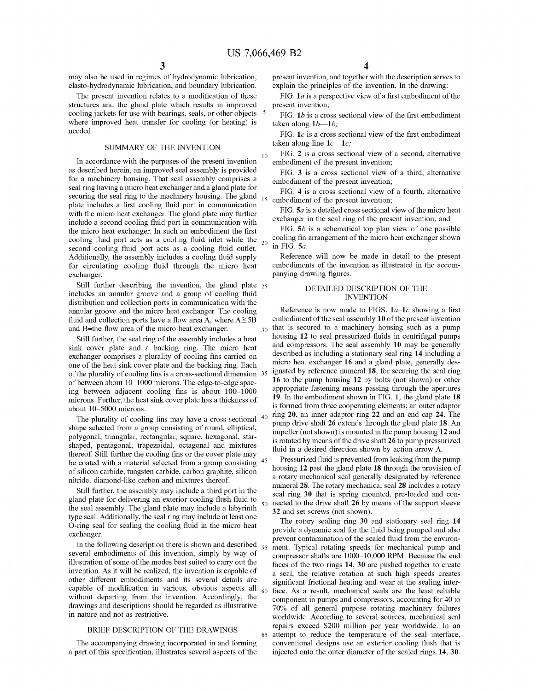10

45

60

65

may also be used in regimes of hydrodynamic lubrication, elasto-hydrodynamic lubrication, and boundary lubrication.

The present invention relates to a modification of these structures and the gland plate Which results in improved cooling jackets for use with bearings, seals, or other objects <sup>5</sup> where improved heat transfer for cooling (or heating) is needed.

#### SUMMARY OF THE INVENTION

In accordance With the purposes of the present invention as described herein, an improved seal assembly is provided for a machinery housing. That seal assembly comprises a seal ring having a micro heat exchanger and a gland plate for securing the seal ring to the machinery housing. The gland plate includes a first cooling fluid port in communication with the micro heat exchanger. The gland plate may further include a second cooling fluid port in communication with the micro heat exchanger. In such an embodiment the first cooling fluid port acts as a cooling fluid inlet while the  $_{20}$ second cooling fluid port acts as a cooling fluid outlet. Additionally, the assembly includes a cooling fluid supply for circulating cooling fluid through the micro heat exchanger.

Still further describing the invention, the gland plate <sub>25</sub> includes an annular groove and a group of cooling fluid distribution and collection ports in communication With the annular groove and the micro heat exchanger. The cooling fluid and collection ports have a flow area A, where  $A \ge 5B$ and B=the flow area of the micro heat exchanger.

Still further, the seal ring of the assembly includes a heat sink cover plate and a backing ring. The micro heat exchanger comprises a plurality of cooling fins carried on one of the heat sink cover plate and the backing ring. Each of the plurality of cooling fins is a cross-sectional dimension  $\rightarrow$  55 of between about 10–1000 microns. The edge-to-edge spacing between adjacent cooling fins is about  $100-1000$ microns. Further, the heat sink cover plate has a thickness of about 10-5000 microns.

The plurality of cooling fins may have a cross-sectional  $40$ shape selected from a group consisting of round, elliptical, polygonal, triangular, rectangular, square, hexagonal, star shaped, pentagonal, trapezoidal, octagonal and mixtures thereof. Still further the cooling fins or the cover plate may be coated With a material selected from a group consisting of silicon carbide, tungsten carbide, carbon graphite, silicon nitride, diamond-like carbon and mixtures thereof.

Still further, the assembly may include a third port in the gland plate for delivering an exterior cooling flush fluid to the seal assembly. The gland plate may include a labyrinth type seal. Additionally, the seal ring may include at least one O-ring seal for sealing the cooling fluid in the micro heat exchanger.

In the following description there is shown and described  $_{55}$ several embodiments of this invention, simply by Way of illustration of some of the modes best suited to carry out the invention. As it Will be realized, the invention is capable of other different embodiments and its several details are capable of modification in various, obvious aspects all without departing from the invention. Accordingly, the draWings and descriptions should be regarded as illustrative in nature and not as restrictive.

#### BRIEF DESCRIPTION OF THE DRAWINGS

The accompanying drawing incorporated in and forming a part of this specification, illustrates several aspects of the

present invention, and together With the description serves to explain the principles of the invention. In the drawing:

FIG.  $1a$  is a perspective view of a first embodiment of the present invention;

FIG.  $1b$  is a cross sectional view of the first embodiment taken along  $1b-1b$ ;

FIG.  $1c$  is a cross sectional view of the first embodiment taken along line  $1c$ — $1c$ ;

FIG. 2 is a cross sectional vieW of a second, alternative embodiment of the present invention;

FIG. 3 is a cross sectional vieW of a third, alternative embodiment of the present invention;

FIG. 4 is a cross sectional vieW of a fourth, alternative 15 embodiment of the present invention;

FIG.  $5a$  is a detailed cross sectional view of the micro heat exchanger in the seal ring of the present invention; and

FIG.  $5b$  is a schematical top plan view of one possible cooling fin arrangement of the micro heat exchanger shown in FIG. 5a.

Reference Will noW be made in detail to the present embodiments of the invention as illustrated in the accom panying drawing figures.

### DETAILED DESCRIPTION OF THE **INVENTION**

30 Reference is now made to FIGS.  $1a-1c$  showing a first embodiment of the seal assembly 10 of the present invention that is secured to a machinery housing such as a pump housing 12 to seal pressurized fluids in centrifugal pumps and compressors. The seal assembly 10 may be generally described as including a stationary seal ring 14 including a micro heat exchanger 16 and a gland plate, generally des ignated by reference numeral 18, for securing the seal ring 16 to the pump housing 12 by bolts (not shoWn) or other appropriate fastening means passing through the apertures 19. In the embodiment shown in FIG. 1, the gland plate 18 is formed from three cooperating elements; an outer adaptor ring 20, an inner adaptor ring 22 and an end cap 24. The pump drive shaft 26 extends through the gland plate 18. An impeller (not shown) is mounted in the pump housing 12 and is rotated by means of the drive shaft 26 to pump pressurized fluid in a desired direction shown by action arrow A.

Pressurized fluid is prevented from leaking from the pump housing 12 past the gland plate 18 through the provision of a rotary mechanical seal generally designated by reference numeral 28. The rotary mechanical seal 28 includes a rotary seal ring 30 that is spring mounted, pre-loaded and con nected to the drive shaft 26 by means of the support sleeve 32 and set screws (not shown).

The rotary sealing ring 30 and stationary seal ring 14 provide a dynamic seal for the fluid being pumped and also prevent contamination of the sealed fluid from the environment. Typical rotating speeds for mechanical pump and compressor shafts are 1000-10,000 RPM. Because the end faces of the two rings 14, 30 are pushed together to create a seal, the relative rotation at such high speeds creates significant frictional heating and wear at the sealing interface. As a result, mechanical seals are the least reliable component in pumps and compressors, accounting for 40 to 70% of all general purpose rotating machinery failures WorldWide. According to several sources, mechanical seal repairs exceed \$200 million per year WorldWide. In an attempt to reduce the temperature of the seal interface, conventional designs use an exterior cooling flush that is injected onto the outer diameter of the sealed rings 14, 30.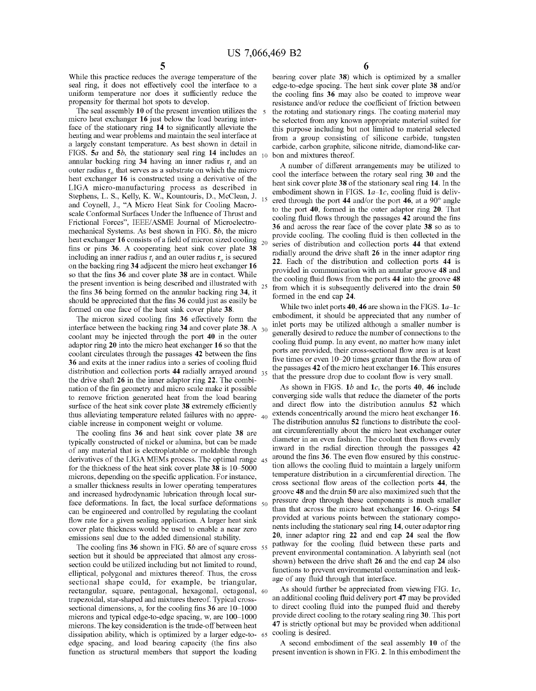While this practice reduces the average temperature of the seal ring, it does not effectively cool the interface to a uniform temperature nor does it sufficiently reduce the propensity for thermal hot spots to develop.

The seal assembly 10 of the present invention utilizes the  $\overline{5}$ micro heat exchanger 16 just below the load bearing interface of the stationary ring 14 to significantly alleviate the heating and Wear problems and maintain the seal interface at a largely constant temperature. As best shoWn in detail in FIGS. 5a and 5b, the stationary seal ring 14 includes an annular backing ring 34 having an inner radius  $r_i$  and an outer radius  $r<sub>o</sub>$  that serves as a substrate on which the micro heat exchanger 16 is constructed using a derivative of the LIGA micro-manufacturing process as described in Stephens, L. S., Kelly, K. W., Kountouris, D., McClean, J. 15 and Coynell, 1., "A Micro Heat Sink for Cooling Macro scale Conformal Surfaces Under the Influence of Thrust and Frictional Forces", IEEE/ASME Journal of Microelectro mechanical Systems. As best shown in FIG. 5b, the micro heat exchanger 16 consists of a field of micron sized cooling  $_{20}$ fins or pins  $36.$  A cooperating heat sink cover plate  $38$ including an inner radius r, and an outer radius  $r<sub>o</sub>$  is secured on the backing ring 34 adjacent the micro heat exchanger 16 so that the fins 36 and cover plate 38 are in contact. While the present invention is being described and illustrated with  $_{25}$ the fins 36 being formed on the annular backing ring 34, it should be appreciated that the fins 36 could just as easily be formed on one face of the heat sink cover plate 38.

The micron sized cooling fins  $36$  effectively form the interface between the backing ring 34 and cover plate 38. A  $_{30}$ coolant may be injected through the port 40 in the outer adaptor ring 20 into the micro heat exchanger 16 so that the coolant circulates through the passages 42 between the fins 36 and exits at the inner radius into a series of cooling fluid distribution and collection ports 44 radially arrayed around 35 the drive shaft 26 in the inner adaptor ring 22. The combi nation of the fin geometry and micro scale make it possible to remove friction generated heat from the load bearing surface of the heat sink cover plate 38 extremely efficiently thus alleviating temperature related failures with no appre-  $_{40}$ ciable increase in component Weight or volume.

The cooling fins 36 and heat sink cover plate 38 are typically constructed of nickel or alumina, but can be made of any material that is electroplatable or moldable through derivatives of the LIGA MEMs process. The optimal range 45 for the thickness of the heat sink cover plate  $38$  is  $10-5000$ microns, depending on the specific application. For instance, a smaller thickness results in lower operating temperatures and increased hydrodynamic lubrication through local sur face deformations. In fact, the local surface deformations 50 can be engineered and controlled by regulating the coolant flow rate for a given sealing application. A larger heat sink cover plate thickness Would be used to enable a near Zero emissions seal due to the added dimensional stability.

The cooling fins 36 shown in FIG.  $5b$  are of square cross  $55$ section but it should be appreciated that almost any cross section could be utilized including but not limited to round, elliptical, polygonal and mixtures thereof. Thus, the cross sectional shape could, for example, be triangular, rectangular, square, pentagonal, hexagonal, octagonal, 60 trapezoidal, star-shaped and mixtures thereof. Typical cross sectional dimensions, a, for the cooling fins  $36$  are  $10-1000$ microns and typical edge-to-edge spacing,  $w$ , are  $100-1000$ microns. The key consideration is the trade-off between heat dissipation ability, which is optimized by a larger edge-to- 65 edge spacing, and load bearing capacity (the fins also function as structural members that support the loading

bearing cover plate  $38$ ) which is optimized by a smaller edge-to-edge spacing. The heat sink cover plate 38 and/or the cooling fins 36 may also be coated to improve wear resistance and/or reduce the coefficient of friction between the rotating and stationary rings. The coating material may be selected from any known appropriate material suited for this purpose including but not limited to material selected from a group consisting of silicone carbide, tungsten carbide, carbon graphite, silicone nitride, diamond-like car bon and mixtures thereof.

A number of different arrangements may be utilized to cool the interface betWeen the rotary seal ring 30 and the heat sink cover plate 38 of the stationary seal ring 14. In the embodiment shown in FIGS.  $1a-1c$ , cooling fluid is delivered through the port 44 and/or the port 46, at a  $90^{\circ}$  angle to the port 40, formed in the outer adaptor ring 20. That cooling fluid flows through the passages 42 around the fins 36 and across the rear face of the cover plate 38 so as to provide cooling. The cooling fluid is then collected in the series of distribution and collection ports 44 that extend radially around the drive shaft 26 in the inner adaptor ring 22. Each of the distribution and collection ports 44 is provided in communication With an annular groove 48 and the cooling fluid flows from the ports 44 into the groove 48 from Which it is subsequently delivered into the drain 50 formed in the end cap 24.

While two inlet ports 40, 46 are shown in the FIGS.  $1a-1c$ embodiment, it should be appreciated that any number of inlet ports may be utilized although a smaller number is generally desired to reduce the number of connections to the cooling fluid pump. In any event, no matter how many inlet ports are provided, their cross-sectional flow area is at least five times or even  $10-20$  times greater than the flow area of the passages 42 of the micro heat exchanger 16. This ensures that the pressure drop due to coolant flow is very small.

As shown in FIGS.  $1b$  and  $1c$ , the ports 40, 46 include converging side Walls that reduce the diameter of the ports and direct flow into the distribution annulus 52 which extends concentrically around the micro heat exchanger 16. The distribution annulus 52 functions to distribute the cool ant circumferentially about the micro heat exchanger outer diameter in an even fashion. The coolant then flows evenly inWard in the radial direction through the passages 42 around the fins 36. The even flow ensured by this construction allows the cooling fluid to maintain a largely uniform temperature distribution in a circumferential direction. The cross sectional flow areas of the collection ports 44, the groove 48 and the drain 50 are also maximized such that the pressure drop through these components is much smaller than that across the micro heat exchanger 16. O-rings 54 provided at various points between the stationary components including the stationary seal ring 14, outer adaptor ring  $20$ , inner adaptor ring  $22$  and end cap  $24$  seal the flow pathway for the cooling fluid between these parts and prevent environmental contamination. A labyrinth seal (not shown) between the drive shaft 26 and the end cap 24 also functions to prevent environmental contamination and leak age of any fluid through that interface.

As should further be appreciated from viewing FIG.  $1c$ , an additional cooling fluid delivery port 47 may be provided to direct cooling fluid into the pumped fluid and thereby provide direct cooling to the rotary sealing ring 30. This port 47 is strictly optional but may be provided When additional cooling is desired.

A second embodiment of the seal assembly 10 of the present invention is shoWn in FIG. 2. In this embodiment the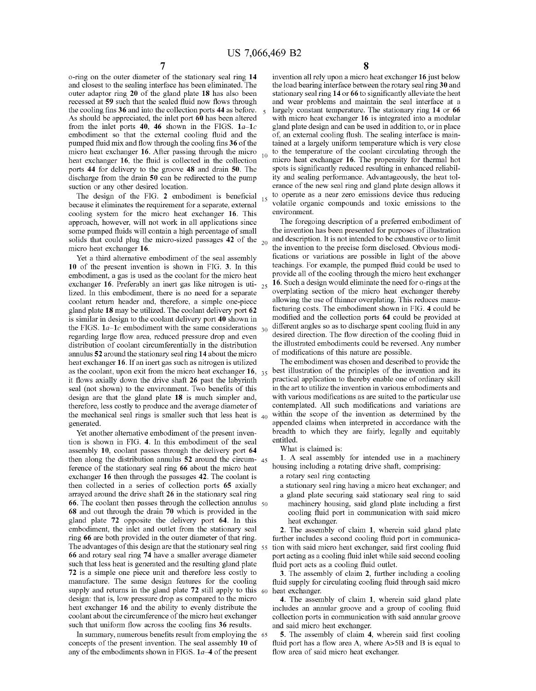o-ring on the outer diameter of the stationary seal ring 14 and closest to the sealing interface has been eliminated. The outer adaptor ring 20 of the gland plate 18 has also been recessed at 59 such that the sealed fluid now flows through the cooling fins 36 and into the collection ports 44 as before. As should be appreciated, the inlet port 60 has been altered from the inlet ports 40, 46 shown in the FIGS.  $1a-1c$ embodiment so that the external cooling fluid and the pumped fluid mix and flow through the cooling fins 36 of the micro heat exchanger 16. After passing through the micro  $10$ heat exchanger 16, the fluid is collected in the collection ports 44 for delivery to the groove 48 and drain 50. The discharge from the drain 50 can be redirected to the pump suction or any other desired location.

The design of the FIG. 2 embodiment is beneficial  $_{15}$ because it eliminates the requirement for a separate, external cooling system for the micro heat exchanger 16. This approach, hoWever, Will not Work in all applications since some pumped fluids will contain a high percentage of small solids that could plug the micro-sized passages  $42$  of the  $_{20}$ micro heat exchanger 16.

Yet a third alternative embodiment of the seal assembly 10 of the present invention is shoWn in FIG. 3. In this embodiment, a gas is used as the coolant for the micro heat exchanger 16. Preferably an inert gas like nitrogen is uti-  $_{25}$ lized. In this embodiment, there is no need for a separate coolant return header and, therefore, a simple one-piece gland plate 18 may be utilized. The coolant delivery port 62 is similar in design to the coolant delivery port 40 shoWn in the FIGS.  $1a-1c$  embodiment with the same considerations  $_{30}$ regarding large flow area, reduced pressure drop and even distribution of coolant circumferentially in the distribution annulus 52 around the stationary seal ring 14 about the micro heat exchanger 16. If an inert gas such as nitrogen is utilized as the coolant, upon exit from the micro heat exchanger  $16$ ,  $35$ it flows axially down the drive shaft 26 past the labyrinth seal (not shown) to the environment. Two benefits of this design are that the gland plate 18 is much simpler and, therefore, less costly to produce and the average diameter of the mechanical seal rings is smaller such that less heat is  $_{40}$ generated.

Yet another alternative embodiment of the present inven tion is shoWn in FIG. 4. In this embodiment of the seal assembly 10, coolant passes through the delivery port 64 then along the distribution annulus  $52$  around the circum-  $45$ ference of the stationary seal ring 66 about the micro heat exchanger 16 then through the passages 42. The coolant is then collected in a series of collection ports 65 axially arrayed around the drive shaft 26 in the stationary seal ring **66**. The coolant then passes through the collection annulus  $\frac{50}{ }$ 68 and out through the drain 70 Which is provided in the gland plate 72 opposite the delivery port 64. In this embodiment, the inlet and outlet from the stationary seal ring 66 are both provided in the outer diameter of that ring. The advantages of this design are that the stationary seal ring 55 66 and rotary seal ring 74 have a smaller average diameter such that less heat is generated and the resulting gland plate 72 is a simple one piece unit and therefore less costly to manufacture. The same design features for the cooling supply and returns in the gland plate 72 still apply to this design: that is, loW pressure drop as compared to the micro heat exchanger 16 and the ability to evenly distribute the coolant about the circumference of the micro heat exchanger such that uniform flow across the cooling fins 36 results. 60

In summary, numerous benefits result from employing the 65 concepts of the present invention. The seal assembly 10 of any of the embodiments shown in FIGS.  $1a-4$  of the present

invention all rely upon a micro heat exchanger 16 just below the load bearing interface between the rotary seal ring 30 and stationary seal ring 14 or 66 to significantly alleviate the heat and Wear problems and maintain the seal interface at a largely constant temperature. The stationary ring 14 or 66 with micro heat exchanger 16 is integrated into a modular gland plate design and can be used in addition to, or in place of, an external cooling flush. The sealing interface is maintained at a largely uniform temperature Which is very close to the temperature of the coolant circulating through the micro heat exchanger 16. The propensity for thermal hot spots is significantly reduced resulting in enhanced reliability and sealing performance. Advantageously, the heat tolerance of the new seal ring and gland plate design allows it to operate as a near Zero emissions device thus reducing volatile organic compounds and toxic emissions to the environment.

The foregoing description of a preferred embodiment of the invention has been presented for purposes of illustration and description. It is not intended to be exhaustive or to limit the invention to the precise form disclosed. Obvious modi fications or variations are possible in light of the above teachings. For example, the pumped fluid could be used to provide all of the cooling through the micro heat exchanger 16. Such a design Would eliminate the need for o-rings at the overplating section of the micro heat exchanger thereby alloWing the use of thinner overplating. This reduces manu facturing costs. The embodiment shown in FIG. 4 could be modified and the collection ports 64 could be provided at different angles so as to discharge spent cooling fluid in any desired direction. The flow direction of the cooling fluid in the illustrated embodiments could be reversed. Any number of modifications of this nature are possible.

The embodiment Was chosen and described to provide the best illustration of the principles of the invention and its practical application to thereby enable one of ordinary skill in the art to utilize the invention in various embodiments and with various modifications as are suited to the particular use contemplated. All such modifications and variations are within the scope of the invention as determined by the appended claims When interpreted in accordance With the breadth to Which they are fairly, legally and equitably entitled.

What is claimed is:

1. A seal assembly for intended use in a machinery housing including a rotating drive shaft, comprising:

a rotary seal ring contacting

a stationary seal ring having a micro heat exchanger; and

a gland plate securing said stationary seal ring to said machinery housing, said gland plate including a first cooling fluid port in communication with said micro heat exchanger.

2. The assembly of claim 1, Wherein said gland plate further includes a second cooling fluid port in communication with said micro heat exchanger, said first cooling fluid port acting as a cooling fluid inlet while said second cooling fluid port acts as a cooling fluid outlet.

3. The assembly of claim 2, further including a cooling fluid supply for circulating cooling fluid through said micro heat exchanger.

4. The assembly of claim 1, Wherein said gland plate includes an annular groove and a group of cooling fluid collection ports in communication With said annular groove and said micro heat exchanger.

5. The assembly of claim 4, wherein said first cooling fluid port has a flow area A, where  $A > 5B$  and B is equal to flow area of said micro heat exchanger.